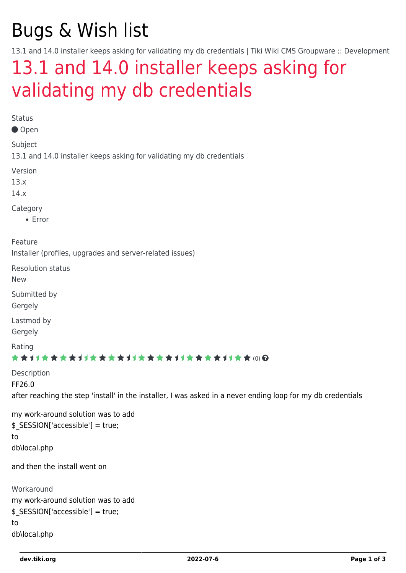# Bugs & Wish list

13.1 and 14.0 installer keeps asking for validating my db credentials | Tiki Wiki CMS Groupware :: Development

# [13.1 and 14.0 installer keeps asking for](https://dev.tiki.org/item5519-13-1-and-14-0-installer-keeps-asking-for-validating-my-db-credentials) [validating my db credentials](https://dev.tiki.org/item5519-13-1-and-14-0-installer-keeps-asking-for-validating-my-db-credentials)

Status

Open

Subject

13.1 and 14.0 installer keeps asking for validating my db credentials

Version

13.x

14.x

Category

Error

Feature

Installer (profiles, upgrades and server-related issues)

Resolution status

New

Submitted by

Gergely

Lastmod by

Gergely

Rating

#### ★★11★★★★11★★★★11★★★★11★★★★11★★ (0) @

Description FF26.0 after reaching the step 'install' in the installer, I was asked in a never ending loop for my db credentials

```
my work-around solution was to add
$_SESSION['accessible'] = true;
to
db\local.php
```
and then the install went on

```
Workaround
my work-around solution was to add
$_SESSION['accessible'] = true;
to
db\local.php
```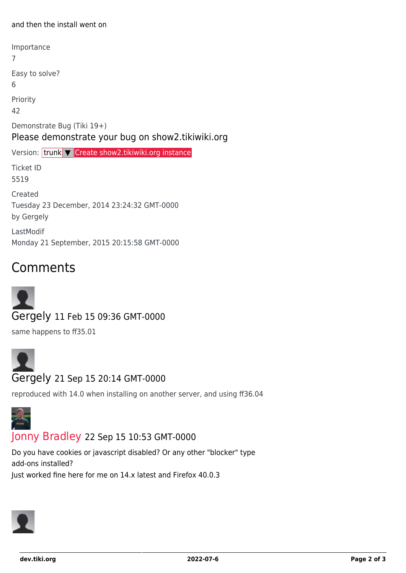#### and then the install went on

Importance 7 Easy to solve? 6 Priority 42 Demonstrate Bug (Tiki 19+) Please demonstrate your bug on show2.tikiwiki.org Version: trunk ▼ [Create show2.tikiwiki.org instance](#page--1-0) Ticket ID 5519 Created Tuesday 23 December, 2014 23:24:32 GMT-0000 by Gergely LastModif Monday 21 September, 2015 20:15:58 GMT-0000

## Comments

Gergely 11 Feb 15 09:36 GMT-0000

same happens to ff35.01



reproduced with 14.0 when installing on another server, and using ff36.04



#### [Jonny Bradley](https://dev.tiki.org/user8515) 22 Sep 15 10:53 GMT-0000

Do you have cookies or javascript disabled? Or any other "blocker" type add-ons installed? Just worked fine here for me on 14.x latest and Firefox 40.0.3